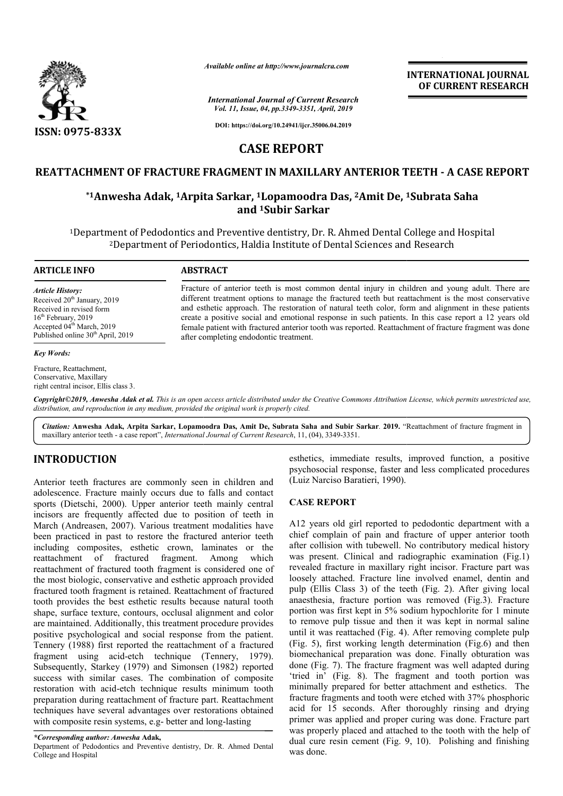

*Available online at http://www.journalcra.com*

*International Journal of Current Research Vol. 11, Issue, 04, pp.3349-3351, April, 2019*

**DOI: https://doi.org/10.24941/ijcr.35006.04.2019**

# **CASE REPORT**

# **REATTACHMENT OF FRACTURE FRAGMENT IN MAXILLARY ANTERIOR TEETH FRACTURE FRAGMENT ANTERIOR TEETH - A CASE REPORT**

## **\*1Anwesha Adak, 1Arpita Sarkar, Arpita 1Lopamoodra Das, 2Amit De, 1 1Subrata Saha and 1Subir Sarkar**

<sup>1</sup>Department of Pedodontics and Preventive dentistry, Dr. R. Ahmed Dental College and Hospital<br><sup>2</sup>Department of Periodontics, Haldia Institute of Dental Sciences and Research 2Department of Periodontics, Haldia Institute of Dental Sciences and Research

#### **ARTICLE INFO ABSTRACT**

*Article History:* Received  $20<sup>th</sup>$  January, 2019 Received in revised form 16<sup>th</sup> February, 2019 Accepted 04<sup>th</sup> March, 2019 Published online 30<sup>th</sup> April, 2019

#### *Key Words:*

Fracture, Reattachment, Conservative, Maxillary right central incisor, Ellis class 3. Fracture of anterior teeth is most common dental injury in children and young adult. There are different treatment options to manage the fractured teeth but reattachment is the most conservative and esthetic approach. The restoration of natural teeth color, form and alignment in these patients create a positive social and emotional response in such patients. In this case report a 12 years old female patient with fractured anterior tooth was reported. Reattachment of fracture fragment was done after completing endodontic treatment. Fracture of anterior teeth is most common dental injury in children and young adult. There are different treatment options to manage the fractured teeth but reattachment is the most conservative and esthetic approach. The

Copyright©2019, Anwesha Adak et al. This is an open access article distributed under the Creative Commons Attribution License, which permits unrestricted use, *distribution, and reproduction in any medium, provided the original work is properly cited.*

Citation: Anwesha Adak, Arpita Sarkar, Lopamoodra Das, Amit De, Subrata Saha and Subir Sarkar. 2019. "Reattachment of fracture fragment in maxillary anterior teeth - a case report", *International Journal of Current Research* , 11, (04), 3349-3351.

# **INTRODUCTION**

Anterior teeth fractures are commonly seen in children and adolescence. Fracture mainly occurs due to falls and contact sports (Dietschi, 2000). Upper anterior teeth mainly central incisors are frequently affected due to position of teeth in March (Andreasen, 2007). Various treatment modalities have been practiced in past to restore the fractured anterior teeth including composites, esthetic crown, laminates or the reattachment of fractured fragment. Among which reattachment of fractured tooth fragment is considered one of the most biologic, conservative and esthetic approach provided fractured tooth fragment is retained. Reattachment of fractured tooth provides the best esthetic results because natural tooth shape, surface texture, contours, occlusal alignment and color are maintained. Additionally, this treatment procedure provides positive psychological and social response from the patient. Tennery (1988) first reported the reattachment of a fractured fragment using acid-etch technique (Tennery, 1979). Subsequently, Starkey (1979) and Simonsen (1982) reported success with similar cases. The combination of composite restoration with acid-etch technique results minimum tooth preparation during reattachment of fracture part. Reattachment techniques have several advantages over restorat with composite resin systems, e.g- better and long-lasting ing composites, esthetic crown, laminates or the<br>
chment of fractured fragment. Among which<br>
chment of fractured tooth fragment is considered one of<br>
orst biologic, conservative and esthetic approach provided<br>
red tooth fr etch technique results minimum tooth<br>ttachment of fracture part. Reattachment<br>al advantages over restorations obtained

*\*Corresponding author: Anwesha* **Adak,**

Department of Pedodontics and Preventive dentistry, Dr. R. Ahmed Dental College and Hospital

esthetics, immediate results, improved function, a positive psychosocial response, faster and less complicated procedures (Luiz Narciso Baratieri, 1990).

**INTERNATIONAL JOURNAL OF CURRENT RESEARCH**

#### **CASE REPORT**

A12 years old girl reported to pedodontic department with a chief complain of pain and fracture of upper anterior tooth after collision with tubewell. No contributory medical history was present. Clinical and radiographic examination (Fig.1) revealed fracture in maxillary right incisor. Fracture part was loosely attached. Fracture line involved enamel, dentin and pulp (Ellis Class 3) of the teeth (Fig. 2). After giving local anaesthesia, fracture portion was removed (Fig.3). Fracture portion was first kept in 5% sodium hypochlorite for 1 minute to remove pulp tissue and then it was kept in normal saline until it was reattached (Fig. 4). After removing complete pulp (Fig. 5), first working length determination (Fig.6) and then biomechanical preparation was done. Finally obturation was done (Fig. 7). The fracture fragment was well adapted during anaesthesia, fracture portion was removed (Fig.3). Fracture portion was first kept in 5% sodium hypochlorite for 1 minute to remove pulp tissue and then it was kept in normal saline until it was reattached (Fig. 4). After minimally prepared for better attachment and esthetics. The fracture fragments and tooth were etched with 37% phosphoric acid for 15 seconds. After thoroughly rinsing and drying primer was applied and proper curing was done. Fracture part was properly placed and attached to the tooth with the help of dual cure resin cement (Fig. 9, 10). Polishing and finishing was done. A12 years old girl reported to pedodontic department with a chief complain of pain and fracture of upper anterior tooth after collision with tubewell. No contributory medical history was present. Clinical and radiographic minimally prepared for better attachment and esthetics. The fracture fragments and tooth were etched with 37% phosphoric acid for 15 seconds. After thoroughly rinsing and drying primer was applied and proper curing was don **RNATIONAL JOURNAL<br>
CURRENT RESEARCH**<br>
CURRENT RESEARCH<br> **H - A CASE REPORT**<br> **Trata Saha**<br>
e and Hospital<br>
earch<br>
and young adult. There are<br>
and young adult. There are<br>
and is the most conservative alignment in these p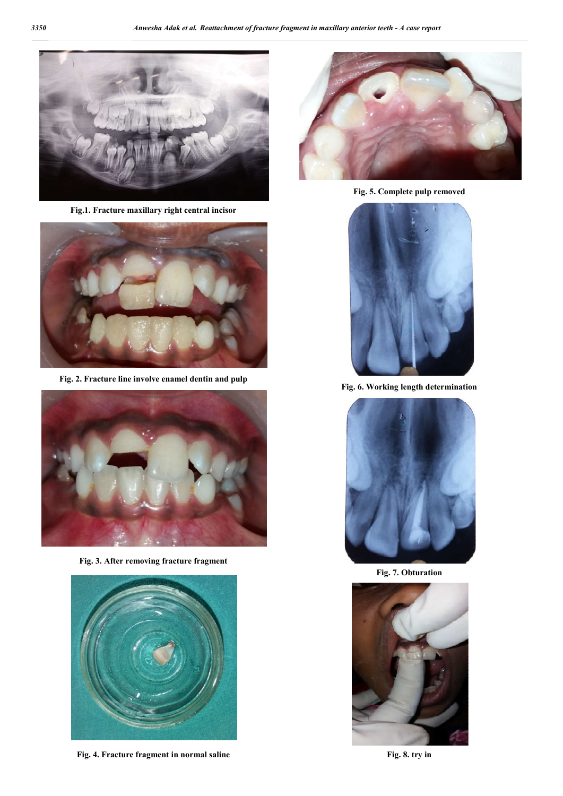

**Fig.1. Fracture maxillary right central incisor**



**Fig. 2. Fracture line involve enamel dentin and pulp**



**Fig. 3. After removing fracture fragment**



**Fig. 4. Fracture fragment in normal saline**



**Fig. 5. Complete pulp removed**



**Fig. 6. Working length determination**



**Fig. 7. Obturation**